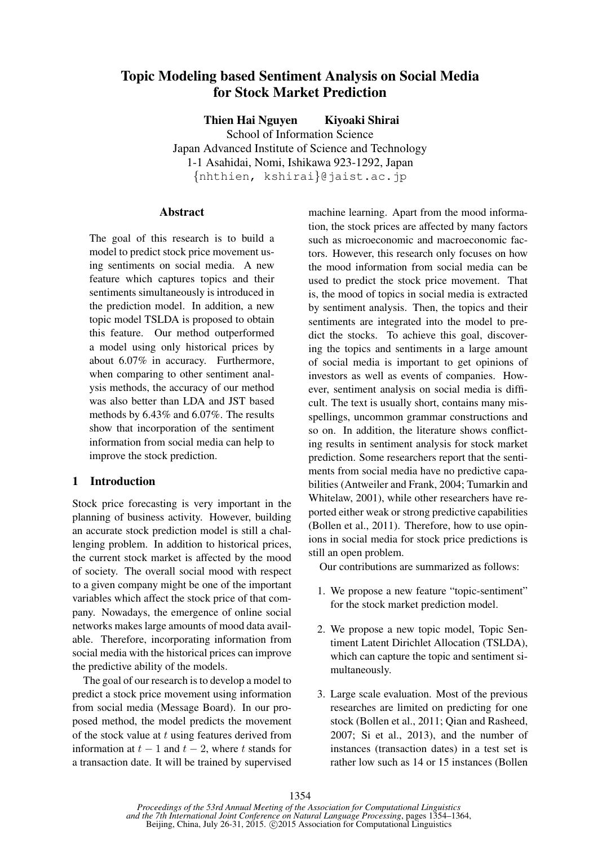# Topic Modeling based Sentiment Analysis on Social Media for Stock Market Prediction

Thien Hai Nguyen Kiyoaki Shirai

School of Information Science Japan Advanced Institute of Science and Technology 1-1 Asahidai, Nomi, Ishikawa 923-1292, Japan {nhthien, kshirai}@jaist.ac.jp

#### **Abstract**

The goal of this research is to build a model to predict stock price movement using sentiments on social media. A new feature which captures topics and their sentiments simultaneously is introduced in the prediction model. In addition, a new topic model TSLDA is proposed to obtain this feature. Our method outperformed a model using only historical prices by about 6.07% in accuracy. Furthermore, when comparing to other sentiment analysis methods, the accuracy of our method was also better than LDA and JST based methods by 6.43% and 6.07%. The results show that incorporation of the sentiment information from social media can help to improve the stock prediction.

### 1 Introduction

Stock price forecasting is very important in the planning of business activity. However, building an accurate stock prediction model is still a challenging problem. In addition to historical prices, the current stock market is affected by the mood of society. The overall social mood with respect to a given company might be one of the important variables which affect the stock price of that company. Nowadays, the emergence of online social networks makes large amounts of mood data available. Therefore, incorporating information from social media with the historical prices can improve the predictive ability of the models.

The goal of our research is to develop a model to predict a stock price movement using information from social media (Message Board). In our proposed method, the model predicts the movement of the stock value at  $t$  using features derived from information at  $t - 1$  and  $t - 2$ , where t stands for a transaction date. It will be trained by supervised machine learning. Apart from the mood information, the stock prices are affected by many factors such as microeconomic and macroeconomic factors. However, this research only focuses on how the mood information from social media can be used to predict the stock price movement. That is, the mood of topics in social media is extracted by sentiment analysis. Then, the topics and their sentiments are integrated into the model to predict the stocks. To achieve this goal, discovering the topics and sentiments in a large amount of social media is important to get opinions of investors as well as events of companies. However, sentiment analysis on social media is difficult. The text is usually short, contains many misspellings, uncommon grammar constructions and so on. In addition, the literature shows conflicting results in sentiment analysis for stock market prediction. Some researchers report that the sentiments from social media have no predictive capabilities (Antweiler and Frank, 2004; Tumarkin and Whitelaw, 2001), while other researchers have reported either weak or strong predictive capabilities (Bollen et al., 2011). Therefore, how to use opinions in social media for stock price predictions is still an open problem.

Our contributions are summarized as follows:

- 1. We propose a new feature "topic-sentiment" for the stock market prediction model.
- 2. We propose a new topic model, Topic Sentiment Latent Dirichlet Allocation (TSLDA), which can capture the topic and sentiment simultaneously.
- 3. Large scale evaluation. Most of the previous researches are limited on predicting for one stock (Bollen et al., 2011; Qian and Rasheed, 2007; Si et al., 2013), and the number of instances (transaction dates) in a test set is rather low such as 14 or 15 instances (Bollen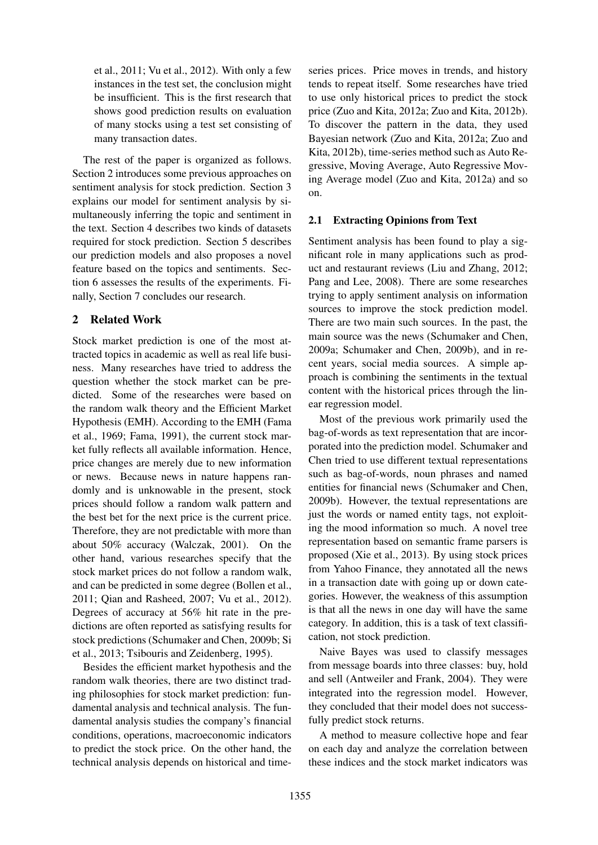et al., 2011; Vu et al., 2012). With only a few instances in the test set, the conclusion might be insufficient. This is the first research that shows good prediction results on evaluation of many stocks using a test set consisting of many transaction dates.

The rest of the paper is organized as follows. Section 2 introduces some previous approaches on sentiment analysis for stock prediction. Section 3 explains our model for sentiment analysis by simultaneously inferring the topic and sentiment in the text. Section 4 describes two kinds of datasets required for stock prediction. Section 5 describes our prediction models and also proposes a novel feature based on the topics and sentiments. Section 6 assesses the results of the experiments. Finally, Section 7 concludes our research.

## 2 Related Work

Stock market prediction is one of the most attracted topics in academic as well as real life business. Many researches have tried to address the question whether the stock market can be predicted. Some of the researches were based on the random walk theory and the Efficient Market Hypothesis (EMH). According to the EMH (Fama et al., 1969; Fama, 1991), the current stock market fully reflects all available information. Hence, price changes are merely due to new information or news. Because news in nature happens randomly and is unknowable in the present, stock prices should follow a random walk pattern and the best bet for the next price is the current price. Therefore, they are not predictable with more than about 50% accuracy (Walczak, 2001). On the other hand, various researches specify that the stock market prices do not follow a random walk, and can be predicted in some degree (Bollen et al., 2011; Qian and Rasheed, 2007; Vu et al., 2012). Degrees of accuracy at 56% hit rate in the predictions are often reported as satisfying results for stock predictions (Schumaker and Chen, 2009b; Si et al., 2013; Tsibouris and Zeidenberg, 1995).

Besides the efficient market hypothesis and the random walk theories, there are two distinct trading philosophies for stock market prediction: fundamental analysis and technical analysis. The fundamental analysis studies the company's financial conditions, operations, macroeconomic indicators to predict the stock price. On the other hand, the technical analysis depends on historical and timeseries prices. Price moves in trends, and history tends to repeat itself. Some researches have tried to use only historical prices to predict the stock price (Zuo and Kita, 2012a; Zuo and Kita, 2012b). To discover the pattern in the data, they used Bayesian network (Zuo and Kita, 2012a; Zuo and Kita, 2012b), time-series method such as Auto Regressive, Moving Average, Auto Regressive Moving Average model (Zuo and Kita, 2012a) and so on.

## 2.1 Extracting Opinions from Text

Sentiment analysis has been found to play a significant role in many applications such as product and restaurant reviews (Liu and Zhang, 2012; Pang and Lee, 2008). There are some researches trying to apply sentiment analysis on information sources to improve the stock prediction model. There are two main such sources. In the past, the main source was the news (Schumaker and Chen, 2009a; Schumaker and Chen, 2009b), and in recent years, social media sources. A simple approach is combining the sentiments in the textual content with the historical prices through the linear regression model.

Most of the previous work primarily used the bag-of-words as text representation that are incorporated into the prediction model. Schumaker and Chen tried to use different textual representations such as bag-of-words, noun phrases and named entities for financial news (Schumaker and Chen, 2009b). However, the textual representations are just the words or named entity tags, not exploiting the mood information so much. A novel tree representation based on semantic frame parsers is proposed (Xie et al., 2013). By using stock prices from Yahoo Finance, they annotated all the news in a transaction date with going up or down categories. However, the weakness of this assumption is that all the news in one day will have the same category. In addition, this is a task of text classification, not stock prediction.

Naive Bayes was used to classify messages from message boards into three classes: buy, hold and sell (Antweiler and Frank, 2004). They were integrated into the regression model. However, they concluded that their model does not successfully predict stock returns.

A method to measure collective hope and fear on each day and analyze the correlation between these indices and the stock market indicators was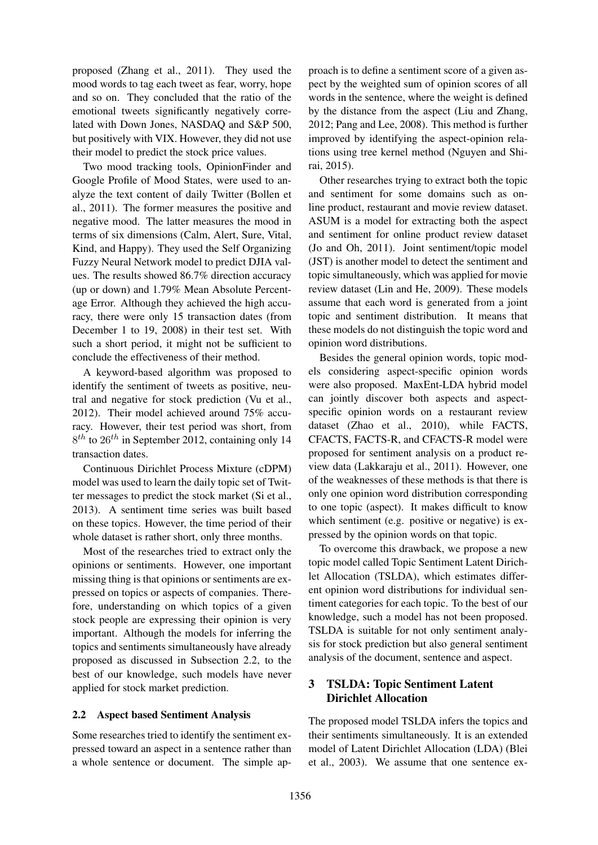proposed (Zhang et al., 2011). They used the mood words to tag each tweet as fear, worry, hope and so on. They concluded that the ratio of the emotional tweets significantly negatively correlated with Down Jones, NASDAQ and S&P 500, but positively with VIX. However, they did not use their model to predict the stock price values.

Two mood tracking tools, OpinionFinder and Google Profile of Mood States, were used to analyze the text content of daily Twitter (Bollen et al., 2011). The former measures the positive and negative mood. The latter measures the mood in terms of six dimensions (Calm, Alert, Sure, Vital, Kind, and Happy). They used the Self Organizing Fuzzy Neural Network model to predict DJIA values. The results showed 86.7% direction accuracy (up or down) and 1.79% Mean Absolute Percentage Error. Although they achieved the high accuracy, there were only 15 transaction dates (from December 1 to 19, 2008) in their test set. With such a short period, it might not be sufficient to conclude the effectiveness of their method.

A keyword-based algorithm was proposed to identify the sentiment of tweets as positive, neutral and negative for stock prediction (Vu et al., 2012). Their model achieved around 75% accuracy. However, their test period was short, from  $8^{th}$  to  $26^{th}$  in September 2012, containing only 14 transaction dates.

Continuous Dirichlet Process Mixture (cDPM) model was used to learn the daily topic set of Twitter messages to predict the stock market (Si et al., 2013). A sentiment time series was built based on these topics. However, the time period of their whole dataset is rather short, only three months.

Most of the researches tried to extract only the opinions or sentiments. However, one important missing thing is that opinions or sentiments are expressed on topics or aspects of companies. Therefore, understanding on which topics of a given stock people are expressing their opinion is very important. Although the models for inferring the topics and sentiments simultaneously have already proposed as discussed in Subsection 2.2, to the best of our knowledge, such models have never applied for stock market prediction.

### 2.2 Aspect based Sentiment Analysis

Some researches tried to identify the sentiment expressed toward an aspect in a sentence rather than a whole sentence or document. The simple approach is to define a sentiment score of a given aspect by the weighted sum of opinion scores of all words in the sentence, where the weight is defined by the distance from the aspect (Liu and Zhang, 2012; Pang and Lee, 2008). This method is further improved by identifying the aspect-opinion relations using tree kernel method (Nguyen and Shirai, 2015).

Other researches trying to extract both the topic and sentiment for some domains such as online product, restaurant and movie review dataset. ASUM is a model for extracting both the aspect and sentiment for online product review dataset (Jo and Oh, 2011). Joint sentiment/topic model (JST) is another model to detect the sentiment and topic simultaneously, which was applied for movie review dataset (Lin and He, 2009). These models assume that each word is generated from a joint topic and sentiment distribution. It means that these models do not distinguish the topic word and opinion word distributions.

Besides the general opinion words, topic models considering aspect-specific opinion words were also proposed. MaxEnt-LDA hybrid model can jointly discover both aspects and aspectspecific opinion words on a restaurant review dataset (Zhao et al., 2010), while FACTS, CFACTS, FACTS-R, and CFACTS-R model were proposed for sentiment analysis on a product review data (Lakkaraju et al., 2011). However, one of the weaknesses of these methods is that there is only one opinion word distribution corresponding to one topic (aspect). It makes difficult to know which sentiment (e.g. positive or negative) is expressed by the opinion words on that topic.

To overcome this drawback, we propose a new topic model called Topic Sentiment Latent Dirichlet Allocation (TSLDA), which estimates different opinion word distributions for individual sentiment categories for each topic. To the best of our knowledge, such a model has not been proposed. TSLDA is suitable for not only sentiment analysis for stock prediction but also general sentiment analysis of the document, sentence and aspect.

## 3 TSLDA: Topic Sentiment Latent Dirichlet Allocation

The proposed model TSLDA infers the topics and their sentiments simultaneously. It is an extended model of Latent Dirichlet Allocation (LDA) (Blei et al., 2003). We assume that one sentence ex-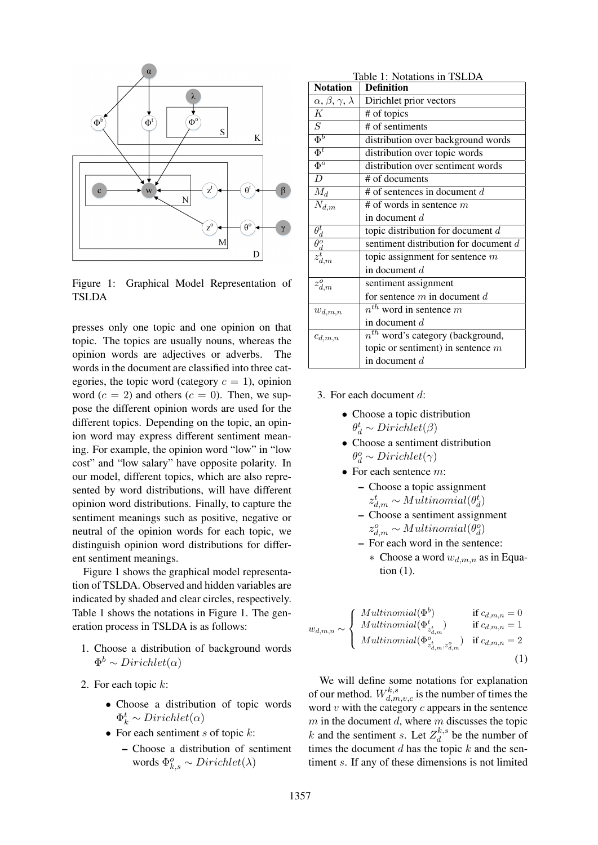

Figure 1: Graphical Model Representation of TSLDA

presses only one topic and one opinion on that topic. The topics are usually nouns, whereas the opinion words are adjectives or adverbs. The words in the document are classified into three categories, the topic word (category  $c = 1$ ), opinion word  $(c = 2)$  and others  $(c = 0)$ . Then, we suppose the different opinion words are used for the different topics. Depending on the topic, an opinion word may express different sentiment meaning. For example, the opinion word "low" in "low cost" and "low salary" have opposite polarity. In our model, different topics, which are also represented by word distributions, will have different opinion word distributions. Finally, to capture the sentiment meanings such as positive, negative or neutral of the opinion words for each topic, we distinguish opinion word distributions for different sentiment meanings.

Figure 1 shows the graphical model representation of TSLDA. Observed and hidden variables are indicated by shaded and clear circles, respectively. Table 1 shows the notations in Figure 1. The generation process in TSLDA is as follows:

- 1. Choose a distribution of background words  $\Phi^b \sim Dirichlet(\alpha)$
- 2. For each topic k:
	- Choose a distribution of topic words  $\Phi_k^t \sim Dirichlet(\alpha)$
	- For each sentiment s of topic  $k$ :
		- Choose a distribution of sentiment words  $\Phi_{k,s}^o \sim Dirichlet(\lambda)$

| Table 1: Notations in TSLDA                                           |                                         |  |  |  |
|-----------------------------------------------------------------------|-----------------------------------------|--|--|--|
| <b>Notation</b>                                                       | Definition                              |  |  |  |
| $\alpha, \beta, \gamma, \lambda$                                      | Dirichlet prior vectors                 |  |  |  |
| K                                                                     | # of topics                             |  |  |  |
| $\overline{S}$                                                        | # of sentiments                         |  |  |  |
| $\overline{\Phi^b}$                                                   | distribution over background words      |  |  |  |
| $\overline{\Phi^t}$                                                   | distribution over topic words           |  |  |  |
| $\overline{\Phi^o}$                                                   | distribution over sentiment words       |  |  |  |
| $\overline{D}$                                                        | # of documents                          |  |  |  |
| $M_d$                                                                 | # of sentences in document $d$          |  |  |  |
| $N_{d,m}$                                                             | # of words in sentence $m$              |  |  |  |
|                                                                       | in document $d$                         |  |  |  |
| $\frac{\overline{\theta^t_d}}{\theta^o_d}_{\substack{d \ z^t_{d,m}}}$ | topic distribution for document $d$     |  |  |  |
|                                                                       | sentiment distribution for document $d$ |  |  |  |
|                                                                       | topic assignment for sentence $m$       |  |  |  |
|                                                                       | in document $d$                         |  |  |  |
| $z_{d,m}^o$                                                           | sentiment assignment                    |  |  |  |
|                                                                       | for sentence $m$ in document $d$        |  |  |  |
| $w_{d,m,n}$                                                           | $n^{th}$ word in sentence m             |  |  |  |
|                                                                       | in document $d$                         |  |  |  |
| $c_{d,m,n}$                                                           | $n^{th}$ word's category (background,   |  |  |  |
|                                                                       | topic or sentiment) in sentence $m$     |  |  |  |
|                                                                       | in document $d$                         |  |  |  |

- 3. For each document d:
	- Choose a topic distribution  $\theta_d^t \sim Dirichlet(\beta)$
	- Choose a sentiment distribution  $\theta_d^o \sim Dirichlet(\gamma)$
	- For each sentence  $m$ :
		- Choose a topic assignment  $z_{d,m}^t \sim Multinomial(\theta_d^t)$
		- Choose a sentiment assignment  $z_{d,m}^o \sim Multinomial(\theta_d^o)$
		- For each word in the sentence:
			- $\ast$  Choose a word  $w_{d,m,n}$  as in Equation (1).

$$
w_{d,m,n} \sim \begin{cases} \text{Multinomial}(\Phi^b) & \text{if } c_{d,m,n} = 0\\ \text{Multinomial}(\Phi^t_{z^t_{d,m}^t}) & \text{if } c_{d,m,n} = 1\\ \text{Multinomial}(\Phi^o_{z^t_{d,m}, z^o_{d,m}^s}) & \text{if } c_{d,m,n} = 2 \end{cases} \tag{1}
$$

We will define some notations for explanation of our method.  $W_{d,m,v,c}^{k,s}$  is the number of times the word  $v$  with the category  $c$  appears in the sentence  $m$  in the document  $d$ , where  $m$  discusses the topic k and the sentiment s. Let  $Z_d^{k,s}$  $\int_{d}^{\kappa, s}$  be the number of times the document  $d$  has the topic  $k$  and the sentiment s. If any of these dimensions is not limited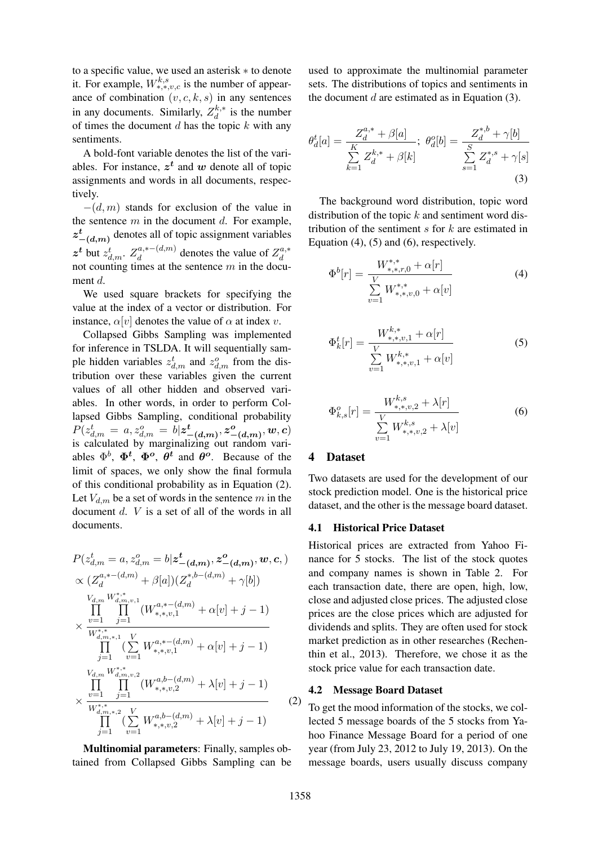to a specific value, we used an asterisk ∗ to denote it. For example,  $W_{*,*,v,c}^{k,s}$  is the number of appearance of combination  $(v, c, k, s)$  in any sentences in any documents. Similarly,  $Z_d^{k,*}$  is the number of times the document  $d$  has the topic  $k$  with any sentiments.

A bold-font variable denotes the list of the variables. For instance,  $z^t$  and w denote all of topic assignments and words in all documents, respectively.

 $-(d, m)$  stands for exclusion of the value in the sentence  $m$  in the document  $d$ . For example,  $z_{-(d,m)}^t$  denotes all of topic assignment variables  $z^t$  but  $z_{d,m}^t$ .  $Z_d^{a,*-(d,m)}$  denotes the value of  $Z_d^{a,*}$ not counting times at the sentence  $m$  in the document d.

We used square brackets for specifying the value at the index of a vector or distribution. For instance,  $\alpha[v]$  denotes the value of  $\alpha$  at index v.

Collapsed Gibbs Sampling was implemented for inference in TSLDA. It will sequentially sample hidden variables  $z_{d,m}^t$  and  $z_{d,m}^o$  from the distribution over these variables given the current values of all other hidden and observed variables. In other words, in order to perform Collapsed Gibbs Sampling, conditional probability  $P(z_{d,m}^t = a, z_{d,m}^o = b | \boldsymbol{z_{-(d,m)}^t}, \boldsymbol{z_{-(d,m)}^o}, \boldsymbol{w}, \boldsymbol{c})$ is calculated by marginalizing out random variables  $\Phi^b$ ,  $\Phi^t$ ,  $\Phi^o$ ,  $\theta^t$  and  $\theta^o$ . Because of the limit of spaces, we only show the final formula of this conditional probability as in Equation (2). Let  $V_{d,m}$  be a set of words in the sentence m in the document d. V is a set of all of the words in all documents.

$$
P(z_{d,m}^{t} = a, z_{d,m}^{o} = b | \mathbf{z}_{-(d,m)}^{t}, \mathbf{z}_{-(d,m)}^{o}, \mathbf{w}, \mathbf{c}, )
$$
  
\n
$$
\propto (Z_{d}^{a,*-(d,m)} + \beta[a])(Z_{d}^{*,b-(d,m)} + \gamma[b])
$$
  
\n
$$
\prod_{v=1}^{V_{d,m}} \prod_{j=1}^{W_{d,m,v,1}^{*,*}} (W_{*,*,v,1}^{a,*-(d,m)} + \alpha[v] + j - 1)
$$
  
\n
$$
\times \frac{w=1}{W_{d,m,*,1}^{*,*}} \sum_{v=1}^{V} W_{*,*,v,1}^{a,*-(d,m)} + \alpha[v] + j - 1)
$$
  
\n
$$
\prod_{j=1}^{V_{d,m}} \prod_{v=1}^{W_{d,m,v,2}^{*,*}} (W_{*,*,v,2}^{a,b-(d,m)} + \lambda[v] + j - 1)
$$
  
\n
$$
\times \frac{w=1}{W_{d,m,*,2}^{*,*}} \sum_{V} W_{*,*,v,2}^{a,b-(d,m)} + \lambda[v] + j - 1)
$$
  
\n(2)

Multinomial parameters: Finally, samples obtained from Collapsed Gibbs Sampling can be

used to approximate the multinomial parameter sets. The distributions of topics and sentiments in the document  $d$  are estimated as in Equation (3).

$$
\theta_d^t[a] = \frac{Z_d^{a,*} + \beta[a]}{\sum_{k=1}^K Z_d^{k,*} + \beta[k]}; \ \theta_d^o[b] = \frac{Z_d^{*,b} + \gamma[b]}{\sum_{s=1}^S Z_d^{*,s} + \gamma[s]}
$$
\n(3)

The background word distribution, topic word distribution of the topic  $k$  and sentiment word distribution of the sentiment  $s$  for  $k$  are estimated in Equation  $(4)$ ,  $(5)$  and  $(6)$ , respectively.

$$
\Phi^{b}[r] = \frac{W_{*,*,r,0}^{*,*} + \alpha[r]}{\sum\limits_{v=1}^{V} W_{*,*,v,0}^{*,*} + \alpha[v]} \tag{4}
$$

$$
\Phi_k^t[r] = \frac{W_{*,*,v,1}^{k,*} + \alpha[r]}{\sum\limits_{v=1}^V W_{*,*,v,1}^{k,*} + \alpha[v]} \tag{5}
$$

$$
\Phi_{k,s}^o[r] = \frac{W_{*,*,v,2}^{k,s} + \lambda[r]}{\sum\limits_{v=1}^V W_{*,*,v,2}^{k,s} + \lambda[v]}
$$
(6)

### 4 Dataset

Two datasets are used for the development of our stock prediction model. One is the historical price dataset, and the other is the message board dataset.

#### 4.1 Historical Price Dataset

Historical prices are extracted from Yahoo Finance for 5 stocks. The list of the stock quotes and company names is shown in Table 2. For each transaction date, there are open, high, low, close and adjusted close prices. The adjusted close prices are the close prices which are adjusted for dividends and splits. They are often used for stock market prediction as in other researches (Rechenthin et al., 2013). Therefore, we chose it as the stock price value for each transaction date.

#### 4.2 Message Board Dataset

To get the mood information of the stocks, we collected 5 message boards of the 5 stocks from Yahoo Finance Message Board for a period of one year (from July 23, 2012 to July 19, 2013). On the message boards, users usually discuss company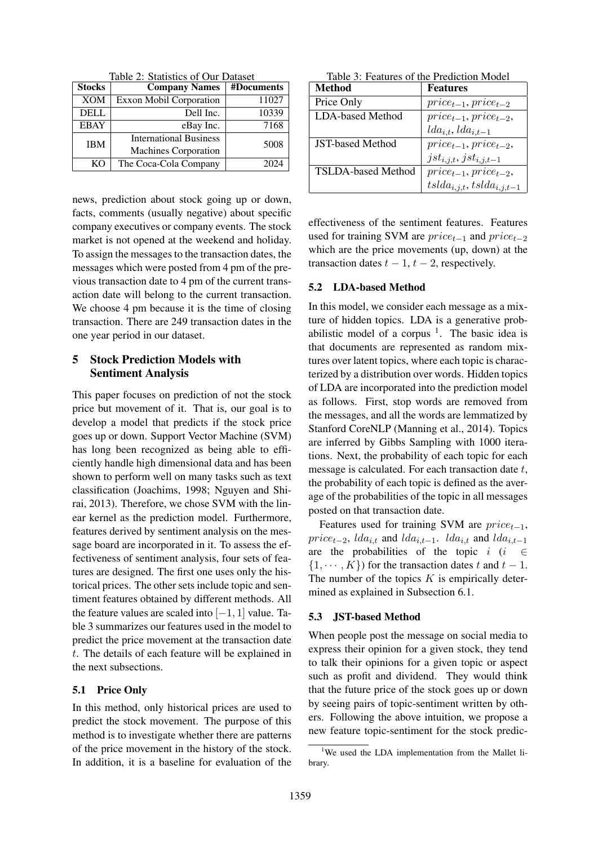Table 2: Statistics of Our Dataset

| <b>Stocks</b> | <b>Company Names</b>           | #Documents |
|---------------|--------------------------------|------------|
| <b>XOM</b>    | <b>Exxon Mobil Corporation</b> | 11027      |
| <b>DELL</b>   | Dell Inc.                      | 10339      |
| <b>EBAY</b>   | eBay Inc.                      | 7168       |
| <b>IBM</b>    | <b>International Business</b>  | 5008       |
|               | <b>Machines Corporation</b>    |            |
| KΟ            | The Coca-Cola Company          | 2024       |

news, prediction about stock going up or down, facts, comments (usually negative) about specific company executives or company events. The stock market is not opened at the weekend and holiday. To assign the messages to the transaction dates, the messages which were posted from 4 pm of the previous transaction date to 4 pm of the current transaction date will belong to the current transaction. We choose 4 pm because it is the time of closing transaction. There are 249 transaction dates in the one year period in our dataset.

## 5 Stock Prediction Models with Sentiment Analysis

This paper focuses on prediction of not the stock price but movement of it. That is, our goal is to develop a model that predicts if the stock price goes up or down. Support Vector Machine (SVM) has long been recognized as being able to efficiently handle high dimensional data and has been shown to perform well on many tasks such as text classification (Joachims, 1998; Nguyen and Shirai, 2013). Therefore, we chose SVM with the linear kernel as the prediction model. Furthermore, features derived by sentiment analysis on the message board are incorporated in it. To assess the effectiveness of sentiment analysis, four sets of features are designed. The first one uses only the historical prices. The other sets include topic and sentiment features obtained by different methods. All the feature values are scaled into  $[-1, 1]$  value. Table 3 summarizes our features used in the model to predict the price movement at the transaction date t. The details of each feature will be explained in the next subsections.

### 5.1 Price Only

In this method, only historical prices are used to predict the stock movement. The purpose of this method is to investigate whether there are patterns of the price movement in the history of the stock. In addition, it is a baseline for evaluation of the

|  | Table 3: Features of the Prediction Model |  |
|--|-------------------------------------------|--|
|  |                                           |  |

| Method                    | <b>Features</b>                  |
|---------------------------|----------------------------------|
| Price Only                | $price_{t-1}, price_{t-2}$       |
| LDA-based Method          | $price_{t-1}, price_{t-2},$      |
|                           | $lda_{i,t},lda_{i,t-1}$          |
| <b>JST-based Method</b>   | $price_{t-1}, price_{t-2},$      |
|                           | $jst_{i,j,t}, jst_{i,j,t-1}$     |
| <b>TSLDA-based Method</b> | $price_{t-1}, price_{t-2},$      |
|                           | $tslda_{i,j,t}, tslda_{i,j,t-1}$ |

effectiveness of the sentiment features. Features used for training SVM are  $price_{t-1}$  and  $price_{t-2}$ which are the price movements (up, down) at the transaction dates  $t - 1$ ,  $t - 2$ , respectively.

### 5.2 LDA-based Method

In this model, we consider each message as a mixture of hidden topics. LDA is a generative probabilistic model of a corpus  $1$ . The basic idea is that documents are represented as random mixtures over latent topics, where each topic is characterized by a distribution over words. Hidden topics of LDA are incorporated into the prediction model as follows. First, stop words are removed from the messages, and all the words are lemmatized by Stanford CoreNLP (Manning et al., 2014). Topics are inferred by Gibbs Sampling with 1000 iterations. Next, the probability of each topic for each message is calculated. For each transaction date  $t$ , the probability of each topic is defined as the average of the probabilities of the topic in all messages posted on that transaction date.

Features used for training SVM are  $price_{t-1}$ ,  $price_{t-2}$ ,  $lda_{i,t}$  and  $lda_{i,t-1}$ .  $lda_{i,t}$  and  $lda_{i,t-1}$ are the probabilities of the topic  $i$  ( $i \in$  $\{1, \dots, K\}$  for the transaction dates t and  $t - 1$ . The number of the topics  $K$  is empirically determined as explained in Subsection 6.1.

## 5.3 JST-based Method

When people post the message on social media to express their opinion for a given stock, they tend to talk their opinions for a given topic or aspect such as profit and dividend. They would think that the future price of the stock goes up or down by seeing pairs of topic-sentiment written by others. Following the above intuition, we propose a new feature topic-sentiment for the stock predic-

<sup>&</sup>lt;sup>1</sup>We used the LDA implementation from the Mallet library.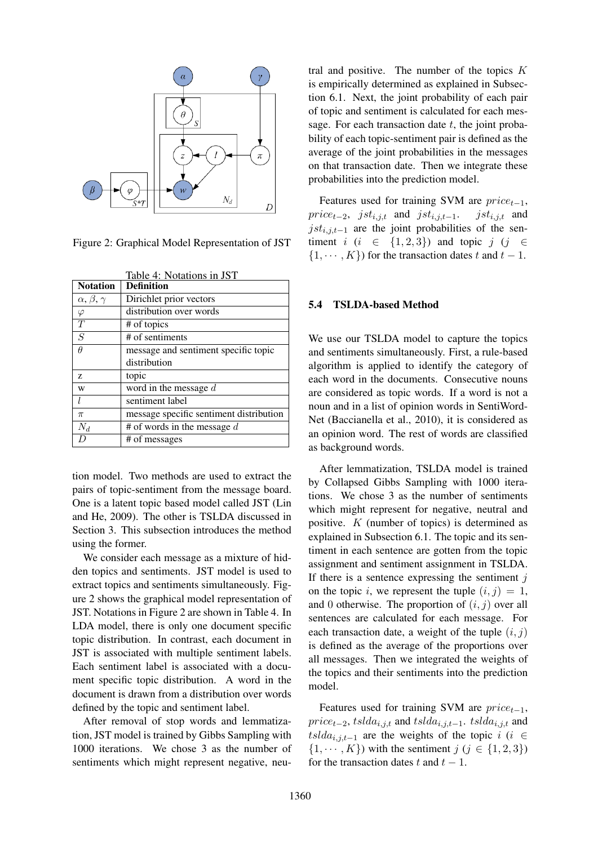

Figure 2: Graphical Model Representation of JST

|                         | Table 4: Notations in JST               |  |  |  |  |  |
|-------------------------|-----------------------------------------|--|--|--|--|--|
| <b>Notation</b>         | <b>Definition</b>                       |  |  |  |  |  |
| $\alpha, \beta, \gamma$ | Dirichlet prior vectors                 |  |  |  |  |  |
| $\varphi$               | distribution over words                 |  |  |  |  |  |
| T                       | # of topics                             |  |  |  |  |  |
| $\mathcal{S}$           | # of sentiments                         |  |  |  |  |  |
| $\theta$                | message and sentiment specific topic    |  |  |  |  |  |
|                         | distribution                            |  |  |  |  |  |
| Z                       | topic                                   |  |  |  |  |  |
| W                       | word in the message $d$                 |  |  |  |  |  |
| l                       | sentiment label                         |  |  |  |  |  |
| $\pi$                   | message specific sentiment distribution |  |  |  |  |  |
| $N_d$                   | # of words in the message $d$           |  |  |  |  |  |
|                         | # of messages                           |  |  |  |  |  |

tion model. Two methods are used to extract the pairs of topic-sentiment from the message board. One is a latent topic based model called JST (Lin and He, 2009). The other is TSLDA discussed in Section 3. This subsection introduces the method using the former.

We consider each message as a mixture of hidden topics and sentiments. JST model is used to extract topics and sentiments simultaneously. Figure 2 shows the graphical model representation of JST. Notations in Figure 2 are shown in Table 4. In LDA model, there is only one document specific topic distribution. In contrast, each document in JST is associated with multiple sentiment labels. Each sentiment label is associated with a document specific topic distribution. A word in the document is drawn from a distribution over words defined by the topic and sentiment label.

After removal of stop words and lemmatization, JST model is trained by Gibbs Sampling with 1000 iterations. We chose 3 as the number of sentiments which might represent negative, neutral and positive. The number of the topics  $K$ is empirically determined as explained in Subsection 6.1. Next, the joint probability of each pair of topic and sentiment is calculated for each message. For each transaction date  $t$ , the joint probability of each topic-sentiment pair is defined as the average of the joint probabilities in the messages on that transaction date. Then we integrate these probabilities into the prediction model.

Features used for training SVM are  $price_{t-1}$ ,<br>  $ice_{t-2}$ ,  $jst_{i,j,t}$  and  $jst_{i,j,t-1}$ .  $jst_{i,j,t}$  and  $price_{t-2}$ , jst<sub>i,j,t</sub> and jst<sub>i,j,t-1</sub>.  $jst_{i,j,t-1}$  are the joint probabilities of the sentiment  $i$  ( $i \in \{1,2,3\}$ ) and topic  $j$  ( $j \in \{$  $\{1, \dots, K\}$  for the transaction dates t and  $t - 1$ .

### 5.4 TSLDA-based Method

We use our TSLDA model to capture the topics and sentiments simultaneously. First, a rule-based algorithm is applied to identify the category of each word in the documents. Consecutive nouns are considered as topic words. If a word is not a noun and in a list of opinion words in SentiWord-Net (Baccianella et al., 2010), it is considered as an opinion word. The rest of words are classified as background words.

After lemmatization, TSLDA model is trained by Collapsed Gibbs Sampling with 1000 iterations. We chose 3 as the number of sentiments which might represent for negative, neutral and positive. K (number of topics) is determined as explained in Subsection 6.1. The topic and its sentiment in each sentence are gotten from the topic assignment and sentiment assignment in TSLDA. If there is a sentence expressing the sentiment  $j$ on the topic i, we represent the tuple  $(i, j) = 1$ , and 0 otherwise. The proportion of  $(i, j)$  over all sentences are calculated for each message. For each transaction date, a weight of the tuple  $(i, j)$ is defined as the average of the proportions over all messages. Then we integrated the weights of the topics and their sentiments into the prediction model.

Features used for training SVM are  $price_{t-1}$ ,  $price_{t-2}$ , tslda<sub>i,j,t</sub> and tslda<sub>i,j,t−1</sub>. tslda<sub>i,j,t</sub> and tslda<sub>i,j,t−1</sub> are the weights of the topic i (i  $\in$  $\{1, \dots, K\}$  with the sentiment  $j \ (j \in \{1, 2, 3\})$ for the transaction dates t and  $t - 1$ .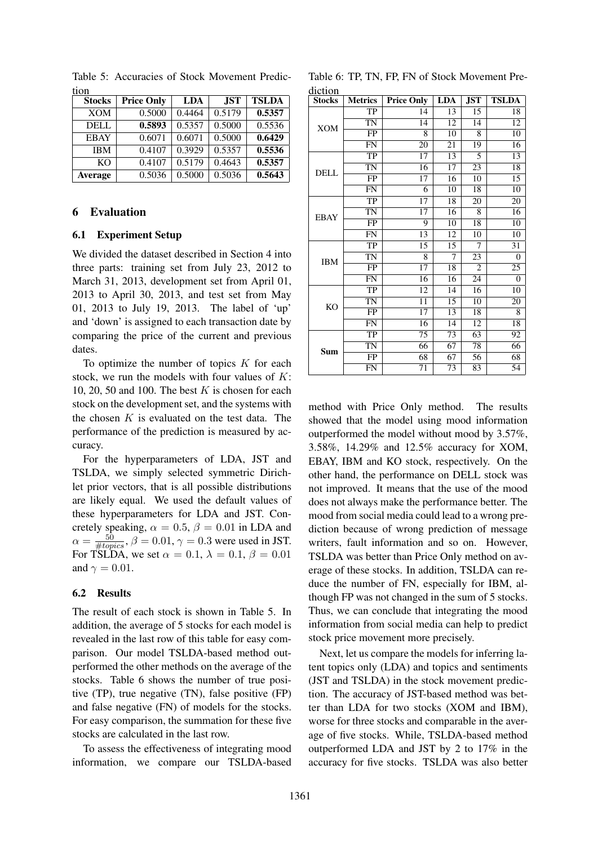| tion           |                   |            |            |              |
|----------------|-------------------|------------|------------|--------------|
| <b>Stocks</b>  | <b>Price Only</b> | <b>LDA</b> | <b>JST</b> | <b>TSLDA</b> |
| <b>XOM</b>     | 0.5000            | 0.4464     | 0.5179     | 0.5357       |
| <b>DELL</b>    | 0.5893            | 0.5357     | 0.5000     | 0.5536       |
| <b>EBAY</b>    | 0.6071            | 0.6071     | 0.5000     | 0.6429       |
| <b>IBM</b>     | 0.4107            | 0.3929     | 0.5357     | 0.5536       |
| K <sub>O</sub> | 0.4107            | 0.5179     | 0.4643     | 0.5357       |
| Average        | 0.5036            | 0.5000     | 0.5036     | 0.5643       |

Table 5: Accuracies of Stock Movement Predic-

### 6 Evaluation

#### 6.1 Experiment Setup

We divided the dataset described in Section 4 into three parts: training set from July 23, 2012 to March 31, 2013, development set from April 01, 2013 to April 30, 2013, and test set from May 01, 2013 to July 19, 2013. The label of 'up' and 'down' is assigned to each transaction date by comparing the price of the current and previous dates.

To optimize the number of topics  $K$  for each stock, we run the models with four values of  $K$ : 10, 20, 50 and 100. The best  $K$  is chosen for each stock on the development set, and the systems with the chosen  $K$  is evaluated on the test data. The performance of the prediction is measured by accuracy.

For the hyperparameters of LDA, JST and TSLDA, we simply selected symmetric Dirichlet prior vectors, that is all possible distributions are likely equal. We used the default values of these hyperparameters for LDA and JST. Concretely speaking,  $\alpha = 0.5$ ,  $\beta = 0.01$  in LDA and  $\alpha = \frac{50}{\# topics}, \beta = 0.01, \gamma = 0.3$  were used in JST. For TSLDA, we set  $\alpha = 0.1$ ,  $\lambda = 0.1$ ,  $\beta = 0.01$ and  $\gamma = 0.01$ .

#### 6.2 Results

The result of each stock is shown in Table 5. In addition, the average of 5 stocks for each model is revealed in the last row of this table for easy comparison. Our model TSLDA-based method outperformed the other methods on the average of the stocks. Table 6 shows the number of true positive (TP), true negative (TN), false positive (FP) and false negative (FN) of models for the stocks. For easy comparison, the summation for these five stocks are calculated in the last row.

To assess the effectiveness of integrating mood information, we compare our TSLDA-based

Table 6: TP, TN, FP, FN of Stock Movement Prediction

| <b>Stocks</b> | <b>Metrics</b> | <b>Price Only</b> | <b>LDA</b> | JST            | <b>TSLDA</b> |
|---------------|----------------|-------------------|------------|----------------|--------------|
|               | TP             | 14                | 13         | 15             | 18           |
| <b>XOM</b>    | <b>TN</b>      | 14                | 12         | 14             | 12           |
|               | <b>FP</b>      | 8                 | 10         | 8              | 10           |
|               | <b>FN</b>      | 20                | 21         | 19             | 16           |
|               | TP             | 17                | 13         | 5              | 13           |
| <b>DELL</b>   | <b>TN</b>      | 16                | 17         | 23             | 18           |
|               | FP             | 17                | 16         | 10             | 15           |
|               | <b>FN</b>      | 6                 | 10         | 18             | 10           |
|               | TP             | 17                | 18         | 20             | 20           |
| <b>EBAY</b>   | TN             | 17                | 16         | 8              | 16           |
|               | <b>FP</b>      | 9                 | 10         | 18             | 10           |
|               | <b>FN</b>      | 13                | 12         | 10             | 10           |
|               | TP             | 15                | 15         | 7              | 31           |
| <b>IBM</b>    | TN             | 8                 | 7          | 23             | $\theta$     |
|               | FP             | 17                | 18         | $\overline{c}$ | 25           |
|               | <b>FN</b>      | 16                | 16         | 24             | $\theta$     |
|               | TP             | 12                | 14         | 16             | 10           |
| <b>KO</b>     | <b>TN</b>      | 11                | 15         | 10             | 20           |
|               | <b>FP</b>      | 17                | 13         | 18             | 8            |
|               | <b>FN</b>      | 16                | 14         | 12             | 18           |
| Sum           | TP             | 75                | 73         | 63             | 92           |
|               | <b>TN</b>      | 66                | 67         | 78             | 66           |
|               | FP             | 68                | 67         | 56             | 68           |
|               | <b>FN</b>      | 71                | 73         | 83             | 54           |

method with Price Only method. The results showed that the model using mood information outperformed the model without mood by 3.57%, 3.58%, 14.29% and 12.5% accuracy for XOM, EBAY, IBM and KO stock, respectively. On the other hand, the performance on DELL stock was not improved. It means that the use of the mood does not always make the performance better. The mood from social media could lead to a wrong prediction because of wrong prediction of message writers, fault information and so on. However, TSLDA was better than Price Only method on average of these stocks. In addition, TSLDA can reduce the number of FN, especially for IBM, although FP was not changed in the sum of 5 stocks. Thus, we can conclude that integrating the mood information from social media can help to predict stock price movement more precisely.

Next, let us compare the models for inferring latent topics only (LDA) and topics and sentiments (JST and TSLDA) in the stock movement prediction. The accuracy of JST-based method was better than LDA for two stocks (XOM and IBM), worse for three stocks and comparable in the average of five stocks. While, TSLDA-based method outperformed LDA and JST by 2 to 17% in the accuracy for five stocks. TSLDA was also better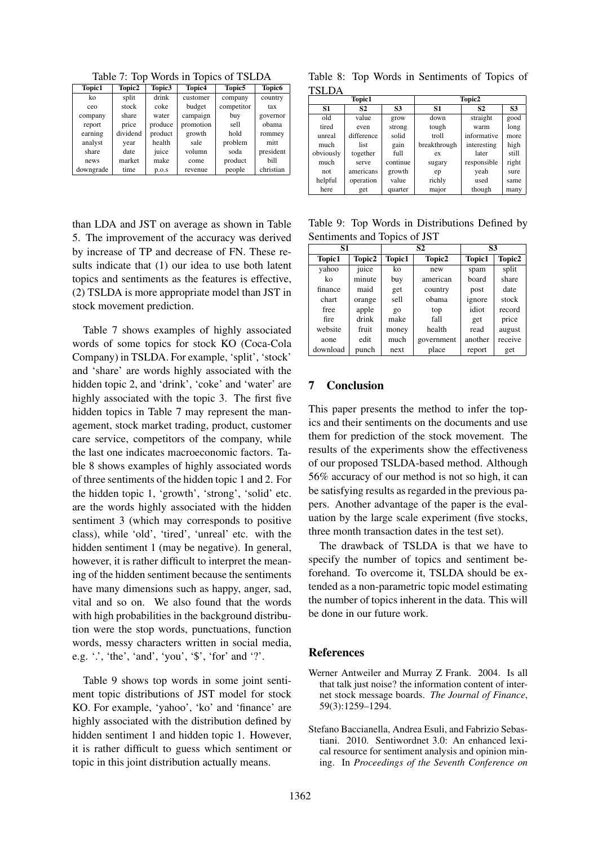Table 7: Top Words in Topics of TSLDA

| <b>Topic1</b> | Topic2   | Topic3  | Topic4    | Topic <sub>5</sub> | <b>Topic6</b> |
|---------------|----------|---------|-----------|--------------------|---------------|
| ko            | split    | drink   | customer  | company            | country       |
| ceo           | stock    | coke    | budget    | competitor         | tax           |
| company       | share    | water   | campaign  | buy                | governor      |
| report        | price    | produce | promotion | sell               | obama         |
| earning       | dividend | product | growth    | hold               | rommey        |
| analyst       | year     | health  | sale      | problem            | mitt          |
| share         | date     | juice   | volumn    | soda               | president     |
| news          | market   | make    | come      | product            | bill          |
| downgrade     | time     | p.o.s   | revenue   | people             | christian     |

than LDA and JST on average as shown in Table 5. The improvement of the accuracy was derived by increase of TP and decrease of FN. These results indicate that (1) our idea to use both latent topics and sentiments as the features is effective, (2) TSLDA is more appropriate model than JST in stock movement prediction.

Table 7 shows examples of highly associated words of some topics for stock KO (Coca-Cola Company) in TSLDA. For example, 'split', 'stock' and 'share' are words highly associated with the hidden topic 2, and 'drink', 'coke' and 'water' are highly associated with the topic 3. The first five hidden topics in Table 7 may represent the management, stock market trading, product, customer care service, competitors of the company, while the last one indicates macroeconomic factors. Table 8 shows examples of highly associated words of three sentiments of the hidden topic 1 and 2. For the hidden topic 1, 'growth', 'strong', 'solid' etc. are the words highly associated with the hidden sentiment 3 (which may corresponds to positive class), while 'old', 'tired', 'unreal' etc. with the hidden sentiment 1 (may be negative). In general, however, it is rather difficult to interpret the meaning of the hidden sentiment because the sentiments have many dimensions such as happy, anger, sad, vital and so on. We also found that the words with high probabilities in the background distribution were the stop words, punctuations, function words, messy characters written in social media, e.g.  $\therefore$  the', 'and', 'you', '\$', 'for' and '?'.

Table 9 shows top words in some joint sentiment topic distributions of JST model for stock KO. For example, 'yahoo', 'ko' and 'finance' are highly associated with the distribution defined by hidden sentiment 1 and hidden topic 1. However, it is rather difficult to guess which sentiment or topic in this joint distribution actually means.

Table 8: Top Words in Sentiments of Topics of TSLDA

| <b>Topic1</b>  |                |           |              | Topic2         |                |
|----------------|----------------|-----------|--------------|----------------|----------------|
| S <sub>1</sub> | S <sub>2</sub> | <b>S3</b> | <b>S1</b>    | S <sub>2</sub> | S <sub>3</sub> |
| old            | value          | grow      | down         | straight       | good           |
| tired          | even           | strong    | tough        | warm           | long           |
| unreal         | difference     | solid     | troll        | informative    | more           |
| much           | list           | gain      | breakthrough | interesting    | high           |
| obviously      | together       | full      | ex           | later          | still          |
| much           | serve          | continue  | sugary       | responsible    | right          |
| not            | americans      | growth    | ep           | yeah           | sure           |
| helpful        | operation      | value     | richly       | used           | same           |
| here           | get            | quarter   | major        | though         | many           |

Table 9: Top Words in Distributions Defined by Sentiments and Topics of JST

| S1            |        | S2     |            | S3            |         |
|---------------|--------|--------|------------|---------------|---------|
| <b>Topic1</b> | Topic2 | Topic1 | Topic2     | <b>Topic1</b> | Topic2  |
| yahoo         | juice  | ko     | new        | spam          | split   |
| ko            | minute | buy    | american   | board         | share   |
| finance       | maid   | get    | country    | post          | date    |
| chart         | orange | sell   | obama      | ignore        | stock   |
| free          | apple  | go     | top        | idiot         | record  |
| fire          | drink  | make   | fall       | get           | price   |
| website       | fruit  | money  | health     | read          | august  |
| aone          | edit   | much   | government | another       | receive |
| download      | punch  | next   | place      | report        | get     |

## 7 Conclusion

This paper presents the method to infer the topics and their sentiments on the documents and use them for prediction of the stock movement. The results of the experiments show the effectiveness of our proposed TSLDA-based method. Although 56% accuracy of our method is not so high, it can be satisfying results as regarded in the previous papers. Another advantage of the paper is the evaluation by the large scale experiment (five stocks, three month transaction dates in the test set).

The drawback of TSLDA is that we have to specify the number of topics and sentiment beforehand. To overcome it, TSLDA should be extended as a non-parametric topic model estimating the number of topics inherent in the data. This will be done in our future work.

#### References

- Werner Antweiler and Murray Z Frank. 2004. Is all that talk just noise? the information content of internet stock message boards. *The Journal of Finance*, 59(3):1259–1294.
- Stefano Baccianella, Andrea Esuli, and Fabrizio Sebastiani. 2010. Sentiwordnet 3.0: An enhanced lexical resource for sentiment analysis and opinion mining. In *Proceedings of the Seventh Conference on*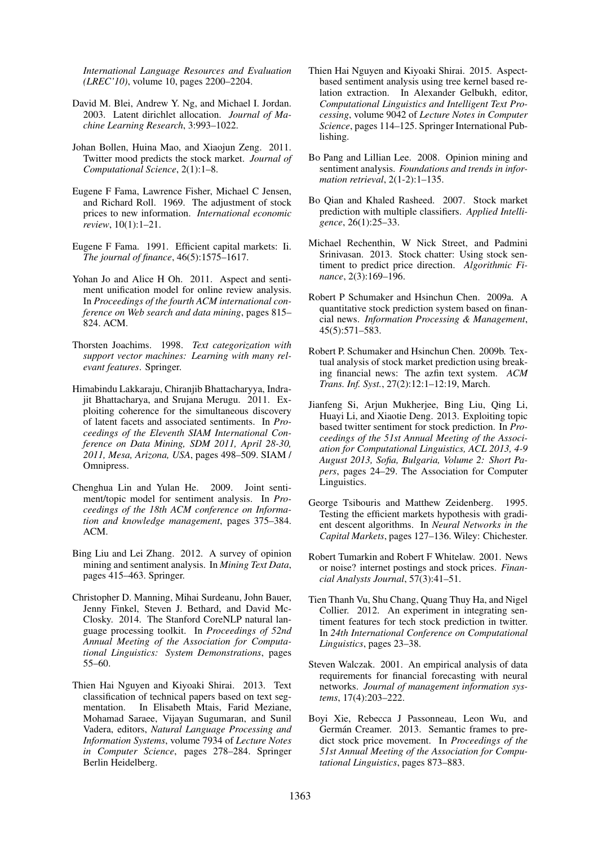*International Language Resources and Evaluation (LREC'10)*, volume 10, pages 2200–2204.

- David M. Blei, Andrew Y. Ng, and Michael I. Jordan. 2003. Latent dirichlet allocation. *Journal of Machine Learning Research*, 3:993–1022.
- Johan Bollen, Huina Mao, and Xiaojun Zeng. 2011. Twitter mood predicts the stock market. *Journal of Computational Science*, 2(1):1–8.
- Eugene F Fama, Lawrence Fisher, Michael C Jensen, and Richard Roll. 1969. The adjustment of stock prices to new information. *International economic review*, 10(1):1–21.
- Eugene F Fama. 1991. Efficient capital markets: Ii. *The journal of finance*, 46(5):1575–1617.
- Yohan Jo and Alice H Oh. 2011. Aspect and sentiment unification model for online review analysis. In *Proceedings of the fourth ACM international conference on Web search and data mining*, pages 815– 824. ACM.
- Thorsten Joachims. 1998. *Text categorization with support vector machines: Learning with many relevant features*. Springer.
- Himabindu Lakkaraju, Chiranjib Bhattacharyya, Indrajit Bhattacharya, and Srujana Merugu. 2011. Exploiting coherence for the simultaneous discovery of latent facets and associated sentiments. In *Proceedings of the Eleventh SIAM International Conference on Data Mining, SDM 2011, April 28-30, 2011, Mesa, Arizona, USA*, pages 498–509. SIAM / Omnipress.
- Chenghua Lin and Yulan He. 2009. Joint sentiment/topic model for sentiment analysis. In *Proceedings of the 18th ACM conference on Information and knowledge management*, pages 375–384. ACM.
- Bing Liu and Lei Zhang. 2012. A survey of opinion mining and sentiment analysis. In *Mining Text Data*, pages 415–463. Springer.
- Christopher D. Manning, Mihai Surdeanu, John Bauer, Jenny Finkel, Steven J. Bethard, and David Mc-Closky. 2014. The Stanford CoreNLP natural language processing toolkit. In *Proceedings of 52nd Annual Meeting of the Association for Computational Linguistics: System Demonstrations*, pages 55–60.
- Thien Hai Nguyen and Kiyoaki Shirai. 2013. Text classification of technical papers based on text segmentation. In Elisabeth Mtais, Farid Meziane, Mohamad Saraee, Vijayan Sugumaran, and Sunil Vadera, editors, *Natural Language Processing and Information Systems*, volume 7934 of *Lecture Notes in Computer Science*, pages 278–284. Springer Berlin Heidelberg.
- Thien Hai Nguyen and Kiyoaki Shirai. 2015. Aspectbased sentiment analysis using tree kernel based relation extraction. In Alexander Gelbukh, editor, *Computational Linguistics and Intelligent Text Processing*, volume 9042 of *Lecture Notes in Computer Science*, pages 114–125. Springer International Publishing.
- Bo Pang and Lillian Lee. 2008. Opinion mining and sentiment analysis. *Foundations and trends in information retrieval*, 2(1-2):1–135.
- Bo Qian and Khaled Rasheed. 2007. Stock market prediction with multiple classifiers. *Applied Intelligence*, 26(1):25–33.
- Michael Rechenthin, W Nick Street, and Padmini Srinivasan. 2013. Stock chatter: Using stock sentiment to predict price direction. *Algorithmic Finance*, 2(3):169–196.
- Robert P Schumaker and Hsinchun Chen. 2009a. A quantitative stock prediction system based on financial news. *Information Processing & Management*, 45(5):571–583.
- Robert P. Schumaker and Hsinchun Chen. 2009b. Textual analysis of stock market prediction using breaking financial news: The azfin text system. *ACM Trans. Inf. Syst.*, 27(2):12:1–12:19, March.
- Jianfeng Si, Arjun Mukherjee, Bing Liu, Qing Li, Huayi Li, and Xiaotie Deng. 2013. Exploiting topic based twitter sentiment for stock prediction. In *Proceedings of the 51st Annual Meeting of the Association for Computational Linguistics, ACL 2013, 4-9 August 2013, Sofia, Bulgaria, Volume 2: Short Papers*, pages 24–29. The Association for Computer Linguistics.
- George Tsibouris and Matthew Zeidenberg. 1995. Testing the efficient markets hypothesis with gradient descent algorithms. In *Neural Networks in the Capital Markets*, pages 127–136. Wiley: Chichester.
- Robert Tumarkin and Robert F Whitelaw. 2001. News or noise? internet postings and stock prices. *Financial Analysts Journal*, 57(3):41–51.
- Tien Thanh Vu, Shu Chang, Quang Thuy Ha, and Nigel Collier. 2012. An experiment in integrating sentiment features for tech stock prediction in twitter. In *24th International Conference on Computational Linguistics*, pages 23–38.
- Steven Walczak. 2001. An empirical analysis of data requirements for financial forecasting with neural networks. *Journal of management information systems*, 17(4):203–222.
- Boyi Xie, Rebecca J Passonneau, Leon Wu, and Germán Creamer. 2013. Semantic frames to predict stock price movement. In *Proceedings of the 51st Annual Meeting of the Association for Computational Linguistics*, pages 873–883.